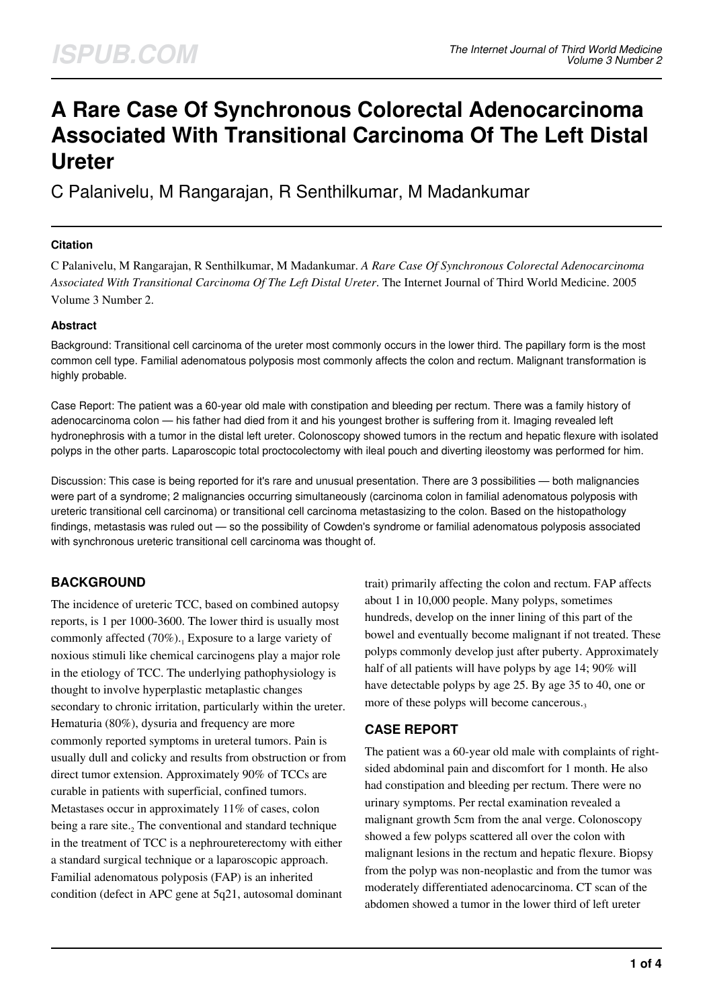# **A Rare Case Of Synchronous Colorectal Adenocarcinoma Associated With Transitional Carcinoma Of The Left Distal Ureter**

C Palanivelu, M Rangarajan, R Senthilkumar, M Madankumar

#### **Citation**

C Palanivelu, M Rangarajan, R Senthilkumar, M Madankumar. *A Rare Case Of Synchronous Colorectal Adenocarcinoma Associated With Transitional Carcinoma Of The Left Distal Ureter*. The Internet Journal of Third World Medicine. 2005 Volume 3 Number 2.

#### **Abstract**

Background: Transitional cell carcinoma of the ureter most commonly occurs in the lower third. The papillary form is the most common cell type. Familial adenomatous polyposis most commonly affects the colon and rectum. Malignant transformation is highly probable.

Case Report: The patient was a 60-year old male with constipation and bleeding per rectum. There was a family history of adenocarcinoma colon — his father had died from it and his youngest brother is suffering from it. Imaging revealed left hydronephrosis with a tumor in the distal left ureter. Colonoscopy showed tumors in the rectum and hepatic flexure with isolated polyps in the other parts. Laparoscopic total proctocolectomy with ileal pouch and diverting ileostomy was performed for him.

Discussion: This case is being reported for it's rare and unusual presentation. There are 3 possibilities — both malignancies were part of a syndrome; 2 malignancies occurring simultaneously (carcinoma colon in familial adenomatous polyposis with ureteric transitional cell carcinoma) or transitional cell carcinoma metastasizing to the colon. Based on the histopathology findings, metastasis was ruled out — so the possibility of Cowden's syndrome or familial adenomatous polyposis associated with synchronous ureteric transitional cell carcinoma was thought of.

# **BACKGROUND**

The incidence of ureteric TCC, based on combined autopsy reports, is 1 per 1000-3600. The lower third is usually most commonly affected  $(70\%)$ .<sub>1</sub> Exposure to a large variety of noxious stimuli like chemical carcinogens play a major role in the etiology of TCC. The underlying pathophysiology is thought to involve hyperplastic metaplastic changes secondary to chronic irritation, particularly within the ureter. Hematuria (80%), dysuria and frequency are more commonly reported symptoms in ureteral tumors. Pain is usually dull and colicky and results from obstruction or from direct tumor extension. Approximately 90% of TCCs are curable in patients with superficial, confined tumors. Metastases occur in approximately 11% of cases, colon being a rare site.<sub>2</sub> The conventional and standard technique in the treatment of TCC is a nephroureterectomy with either a standard surgical technique or a laparoscopic approach. Familial adenomatous polyposis (FAP) is an inherited condition (defect in APC gene at 5q21, autosomal dominant

trait) primarily affecting the colon and rectum. FAP affects about 1 in 10,000 people. Many polyps, sometimes hundreds, develop on the inner lining of this part of the bowel and eventually become malignant if not treated. These polyps commonly develop just after puberty. Approximately half of all patients will have polyps by age 14; 90% will have detectable polyps by age 25. By age 35 to 40, one or more of these polyps will become cancerous.

#### **CASE REPORT**

The patient was a 60-year old male with complaints of rightsided abdominal pain and discomfort for 1 month. He also had constipation and bleeding per rectum. There were no urinary symptoms. Per rectal examination revealed a malignant growth 5cm from the anal verge. Colonoscopy showed a few polyps scattered all over the colon with malignant lesions in the rectum and hepatic flexure. Biopsy from the polyp was non-neoplastic and from the tumor was moderately differentiated adenocarcinoma. CT scan of the abdomen showed a tumor in the lower third of left ureter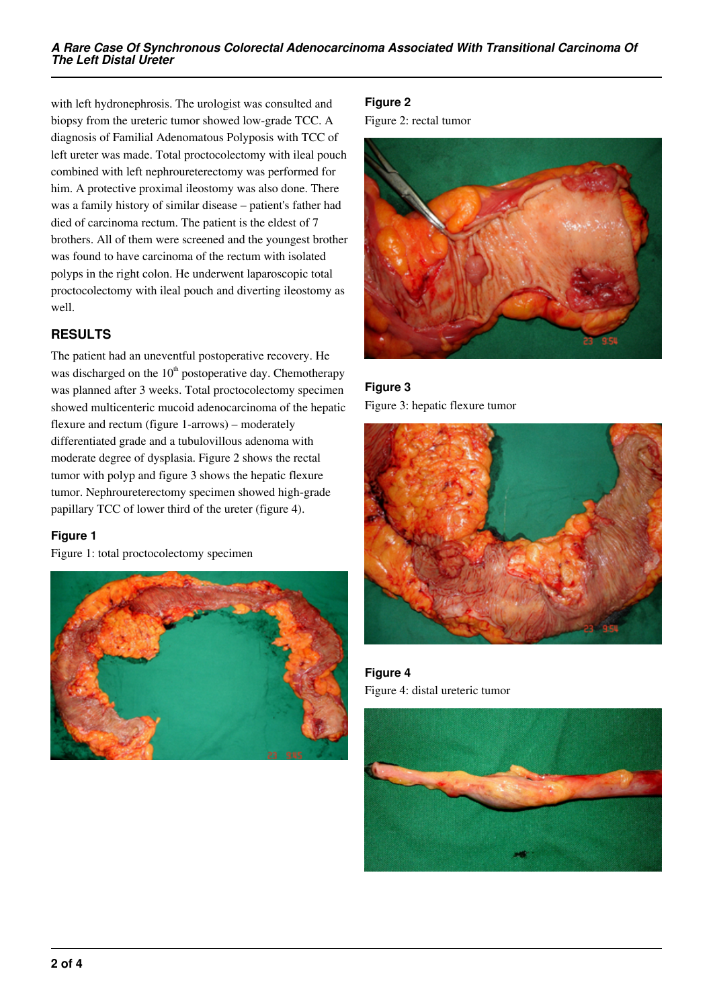with left hydronephrosis. The urologist was consulted and biopsy from the ureteric tumor showed low-grade TCC. A diagnosis of Familial Adenomatous Polyposis with TCC of left ureter was made. Total proctocolectomy with ileal pouch combined with left nephroureterectomy was performed for him. A protective proximal ileostomy was also done. There was a family history of similar disease – patient's father had died of carcinoma rectum. The patient is the eldest of 7 brothers. All of them were screened and the youngest brother was found to have carcinoma of the rectum with isolated polyps in the right colon. He underwent laparoscopic total proctocolectomy with ileal pouch and diverting ileostomy as well.

# **RESULTS**

The patient had an uneventful postoperative recovery. He was discharged on the  $10<sup>th</sup>$  postoperative day. Chemotherapy was planned after 3 weeks. Total proctocolectomy specimen showed multicenteric mucoid adenocarcinoma of the hepatic flexure and rectum (figure 1-arrows) – moderately differentiated grade and a tubulovillous adenoma with moderate degree of dysplasia. Figure 2 shows the rectal tumor with polyp and figure 3 shows the hepatic flexure tumor. Nephroureterectomy specimen showed high-grade papillary TCC of lower third of the ureter (figure 4).

#### **Figure 1**

Figure 1: total proctocolectomy specimen



## **Figure 2**

Figure 2: rectal tumor



**Figure 3** Figure 3: hepatic flexure tumor



**Figure 4** Figure 4: distal ureteric tumor

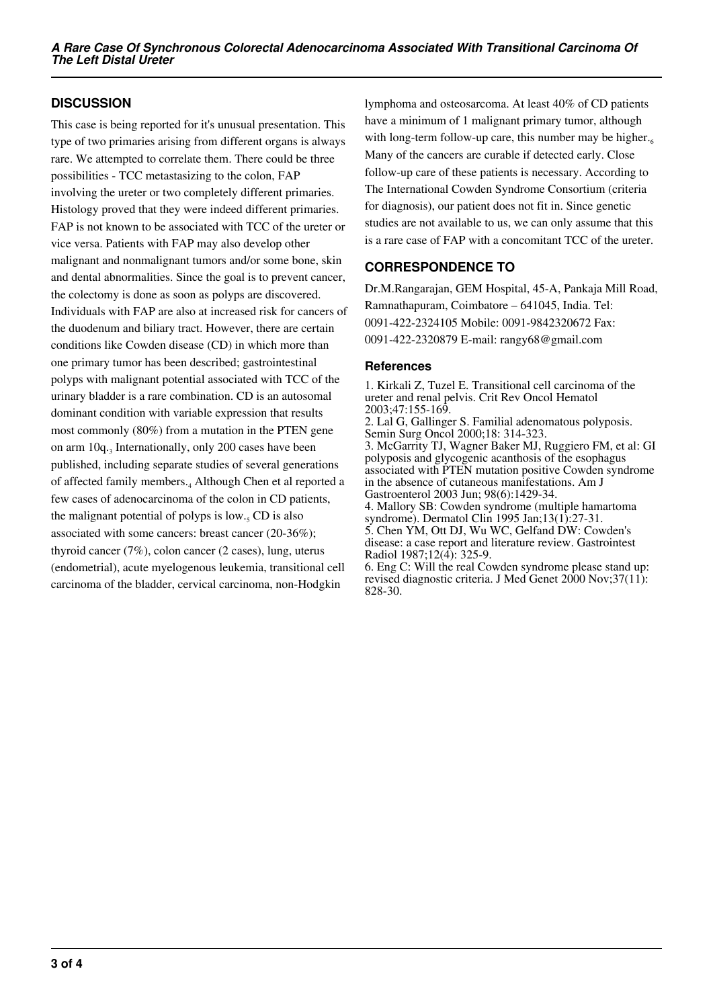## **DISCUSSION**

This case is being reported for it's unusual presentation. This type of two primaries arising from different organs is always rare. We attempted to correlate them. There could be three possibilities - TCC metastasizing to the colon, FAP involving the ureter or two completely different primaries. Histology proved that they were indeed different primaries. FAP is not known to be associated with TCC of the ureter or vice versa. Patients with FAP may also develop other malignant and nonmalignant tumors and/or some bone, skin and dental abnormalities. Since the goal is to prevent cancer, the colectomy is done as soon as polyps are discovered. Individuals with FAP are also at increased risk for cancers of the duodenum and biliary tract. However, there are certain conditions like Cowden disease (CD) in which more than one primary tumor has been described; gastrointestinal polyps with malignant potential associated with TCC of the urinary bladder is a rare combination. CD is an autosomal dominant condition with variable expression that results most commonly (80%) from a mutation in the PTEN gene on arm 10q.<sub>3</sub> Internationally, only 200 cases have been published, including separate studies of several generations of affected family members.<sup>4</sup> Although Chen et al reported a few cases of adenocarcinoma of the colon in CD patients, the malignant potential of polyps is  $low_{.5}$  CD is also associated with some cancers: breast cancer (20-36%); thyroid cancer (7%), colon cancer (2 cases), lung, uterus (endometrial), acute myelogenous leukemia, transitional cell carcinoma of the bladder, cervical carcinoma, non-Hodgkin

lymphoma and osteosarcoma. At least 40% of CD patients have a minimum of 1 malignant primary tumor, although with long-term follow-up care, this number may be higher. $66$ Many of the cancers are curable if detected early. Close follow-up care of these patients is necessary. According to The International Cowden Syndrome Consortium (criteria for diagnosis), our patient does not fit in. Since genetic studies are not available to us, we can only assume that this is a rare case of FAP with a concomitant TCC of the ureter.

## **CORRESPONDENCE TO**

Dr.M.Rangarajan, GEM Hospital, 45-A, Pankaja Mill Road, Ramnathapuram, Coimbatore – 641045, India. Tel: 0091-422-2324105 Mobile: 0091-9842320672 Fax: 0091-422-2320879 E-mail: rangy68@gmail.com

#### **References**

1. Kirkali Z, Tuzel E. Transitional cell carcinoma of the ureter and renal pelvis. Crit Rev Oncol Hematol 2003;47:155-169.

2. Lal G, Gallinger S. Familial adenomatous polyposis. Semin Surg Oncol 2000;18: 314-323.

3. McGarrity TJ, Wagner Baker MJ, Ruggiero FM, et al: GI polyposis and glycogenic acanthosis of the esophagus associated with PTEN mutation positive Cowden syndrome in the absence of cutaneous manifestations. Am J Gastroenterol 2003 Jun; 98(6):1429-34.

4. Mallory SB: Cowden syndrome (multiple hamartoma syndrome). Dermatol Clin 1995 Jan;13(1):27-31. 5. Chen YM, Ott DJ, Wu WC, Gelfand DW: Cowden's disease: a case report and literature review. Gastrointest Radiol 1987;12(4): 325-9.

6. Eng C: Will the real Cowden syndrome please stand up: revised diagnostic criteria. J Med Genet 2000 Nov;37(11): 828-30.